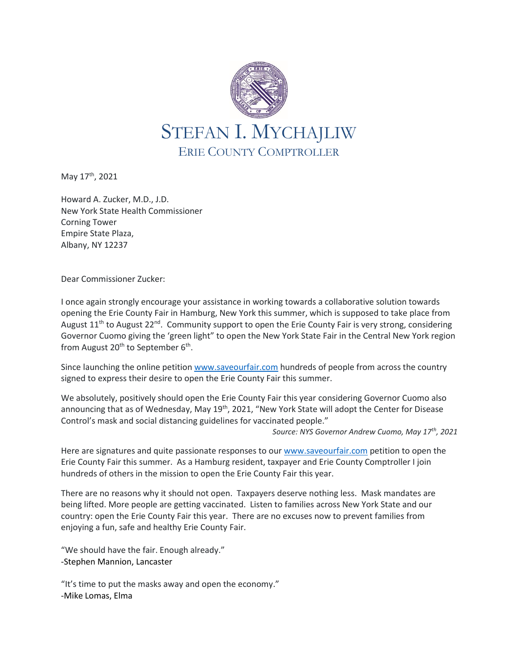

May 17<sup>th</sup>, 2021

Howard A. Zucker, M.D., J.D. New York State Health Commissioner Corning Tower Empire State Plaza, Albany, NY 12237

Dear Commissioner Zucker:

I once again strongly encourage your assistance in working towards a collaborative solution towards opening the Erie County Fair in Hamburg, New York this summer, which is supposed to take place from August 11<sup>th</sup> to August 22<sup>nd</sup>. Community support to open the Erie County Fair is very strong, considering Governor Cuomo giving the 'green light" to open the New York State Fair in the Central New York region from August 20<sup>th</sup> to September 6<sup>th</sup>.

Since launching the online petition [www.saveourfair.com](http://www.saveourfair.com/) hundreds of people from across the country signed to express their desire to open the Erie County Fair this summer.

We absolutely, positively should open the Erie County Fair this year considering Governor Cuomo also announcing that as of Wednesday, May 19<sup>th</sup>, 2021, "New York State will adopt the Center for Disease Control's mask and social distancing guidelines for vaccinated people."

*Source: NYS Governor Andrew Cuomo, May 17th, 2021*

Here are signatures and quite passionate responses to our [www.saveourfair.com](http://www.saveourfair.com/) petition to open the Erie County Fair this summer. As a Hamburg resident, taxpayer and Erie County Comptroller I join hundreds of others in the mission to open the Erie County Fair this year.

There are no reasons why it should not open. Taxpayers deserve nothing less. Mask mandates are being lifted. More people are getting vaccinated. Listen to families across New York State and our country: open the Erie County Fair this year. There are no excuses now to prevent families from enjoying a fun, safe and healthy Erie County Fair.

"We should have the fair. Enough already." -Stephen Mannion, Lancaster

"It's time to put the masks away and open the economy." -Mike Lomas, Elma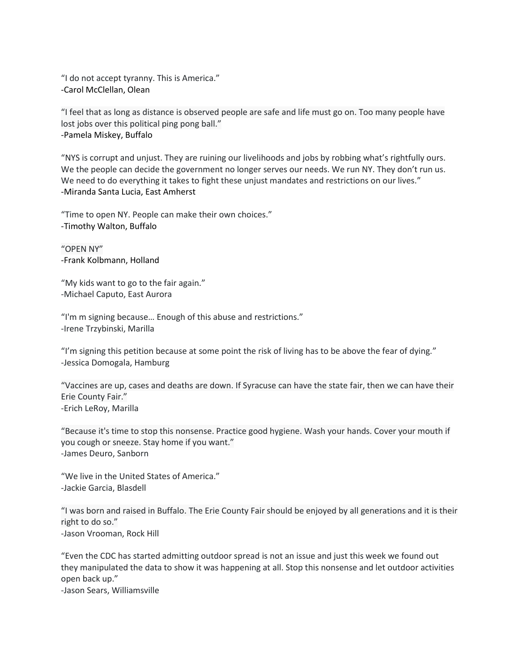"I do not accept tyranny. This is America." -Carol McClellan, Olean

"I feel that as long as distance is observed people are safe and life must go on. Too many people have lost jobs over this political ping pong ball." -Pamela Miskey, Buffalo

"NYS is corrupt and unjust. They are ruining our livelihoods and jobs by robbing what's rightfully ours. We the people can decide the government no longer serves our needs. We run NY. They don't run us. We need to do everything it takes to fight these unjust mandates and restrictions on our lives." -Miranda Santa Lucia, East Amherst

"Time to open NY. People can make their own choices." -Timothy Walton, Buffalo

"OPEN NY" -Frank Kolbmann, Holland

"My kids want to go to the fair again." -Michael Caputo, East Aurora

"I'm m signing because… Enough of this abuse and restrictions." -Irene Trzybinski, Marilla

"I'm signing this petition because at some point the risk of living has to be above the fear of dying." -Jessica Domogala, Hamburg

"Vaccines are up, cases and deaths are down. If Syracuse can have the state fair, then we can have their Erie County Fair." -Erich LeRoy, Marilla

"Because it's time to stop this nonsense. Practice good hygiene. Wash your hands. Cover your mouth if you cough or sneeze. Stay home if you want." -James Deuro, Sanborn

"We live in the United States of America." -Jackie Garcia, Blasdell

"I was born and raised in Buffalo. The Erie County Fair should be enjoyed by all generations and it is their right to do so." -Jason Vrooman, Rock Hill

"Even the CDC has started admitting outdoor spread is not an issue and just this week we found out they manipulated the data to show it was happening at all. Stop this nonsense and let outdoor activities open back up."

-Jason Sears, Williamsville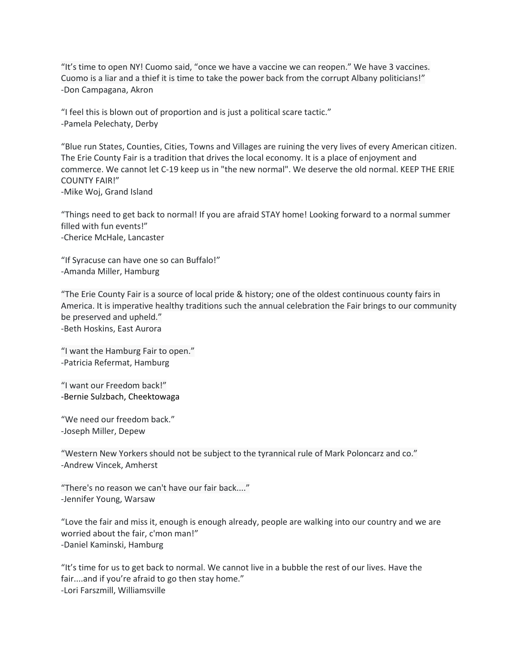"It's time to open NY! Cuomo said, "once we have a vaccine we can reopen." We have 3 vaccines. Cuomo is a liar and a thief it is time to take the power back from the corrupt Albany politicians!" -Don Campagana, Akron

"I feel this is blown out of proportion and is just a political scare tactic." -Pamela Pelechaty, Derby

"Blue run States, Counties, Cities, Towns and Villages are ruining the very lives of every American citizen. The Erie County Fair is a tradition that drives the local economy. It is a place of enjoyment and commerce. We cannot let C-19 keep us in "the new normal". We deserve the old normal. KEEP THE ERIE COUNTY FAIR!" -Mike Woj, Grand Island

"Things need to get back to normal! If you are afraid STAY home! Looking forward to a normal summer filled with fun events!" -Cherice McHale, Lancaster

"If Syracuse can have one so can Buffalo!" -Amanda Miller, Hamburg

"The Erie County Fair is a source of local pride & history; one of the oldest continuous county fairs in America. It is imperative healthy traditions such the annual celebration the Fair brings to our community be preserved and upheld." -Beth Hoskins, East Aurora

"I want the Hamburg Fair to open." -Patricia Refermat, Hamburg

"I want our Freedom back!" -Bernie Sulzbach, Cheektowaga

"We need our freedom back." -Joseph Miller, Depew

"Western New Yorkers should not be subject to the tyrannical rule of Mark Poloncarz and co." -Andrew Vincek, Amherst

"There's no reason we can't have our fair back...." -Jennifer Young, Warsaw

"Love the fair and miss it, enough is enough already, people are walking into our country and we are worried about the fair, c'mon man!" -Daniel Kaminski, Hamburg

"It's time for us to get back to normal. We cannot live in a bubble the rest of our lives. Have the fair....and if you're afraid to go then stay home." -Lori Farszmill, Williamsville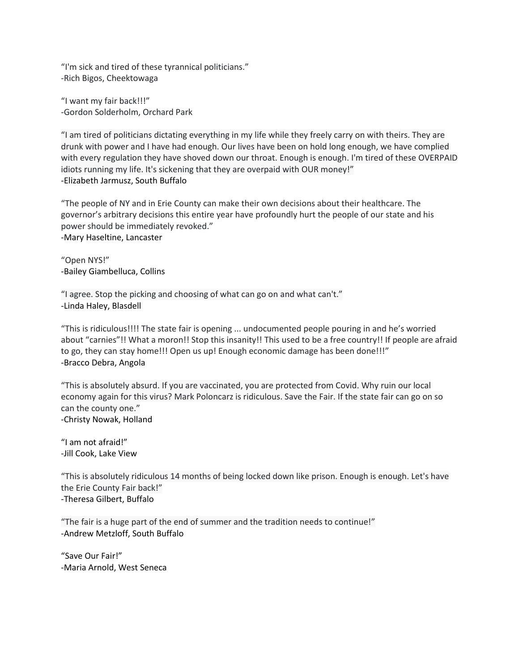"I'm sick and tired of these tyrannical politicians." -Rich Bigos, Cheektowaga

"I want my fair back!!!" -Gordon Solderholm, Orchard Park

"I am tired of politicians dictating everything in my life while they freely carry on with theirs. They are drunk with power and I have had enough. Our lives have been on hold long enough, we have complied with every regulation they have shoved down our throat. Enough is enough. I'm tired of these OVERPAID idiots running my life. It's sickening that they are overpaid with OUR money!" -Elizabeth Jarmusz, South Buffalo

"The people of NY and in Erie County can make their own decisions about their healthcare. The governor's arbitrary decisions this entire year have profoundly hurt the people of our state and his power should be immediately revoked." -Mary Haseltine, Lancaster

"Open NYS!" -Bailey Giambelluca, Collins

"I agree. Stop the picking and choosing of what can go on and what can't." -Linda Haley, Blasdell

"This is ridiculous!!!! The state fair is opening ... undocumented people pouring in and he's worried about "carnies"!! What a moron!! Stop this insanity!! This used to be a free country!! If people are afraid to go, they can stay home!!! Open us up! Enough economic damage has been done!!!" -Bracco Debra, Angola

"This is absolutely absurd. If you are vaccinated, you are protected from Covid. Why ruin our local economy again for this virus? Mark Poloncarz is ridiculous. Save the Fair. If the state fair can go on so can the county one." -Christy Nowak, Holland

"I am not afraid!" -Jill Cook, Lake View

"This is absolutely ridiculous 14 months of being locked down like prison. Enough is enough. Let's have the Erie County Fair back!" -Theresa Gilbert, Buffalo

"The fair is a huge part of the end of summer and the tradition needs to continue!" -Andrew Metzloff, South Buffalo

"Save Our Fair!" -Maria Arnold, West Seneca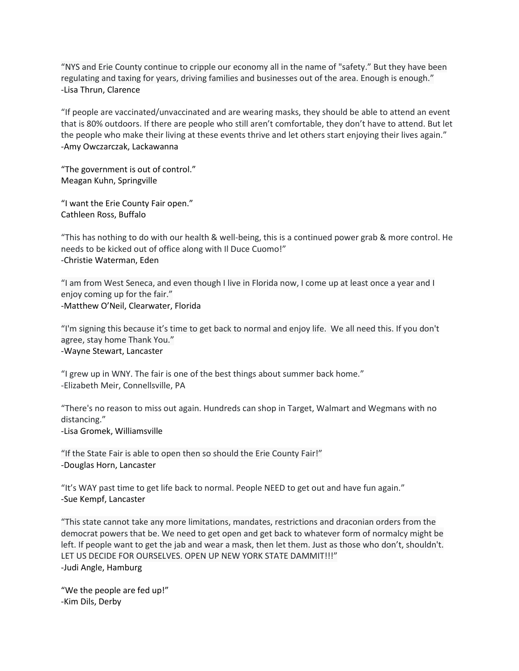"NYS and Erie County continue to cripple our economy all in the name of "safety." But they have been regulating and taxing for years, driving families and businesses out of the area. Enough is enough." -Lisa Thrun, Clarence

"If people are vaccinated/unvaccinated and are wearing masks, they should be able to attend an event that is 80% outdoors. If there are people who still aren't comfortable, they don't have to attend. But let the people who make their living at these events thrive and let others start enjoying their lives again." -Amy Owczarczak, Lackawanna

"The government is out of control." Meagan Kuhn, Springville

"I want the Erie County Fair open." Cathleen Ross, Buffalo

"This has nothing to do with our health & well-being, this is a continued power grab & more control. He needs to be kicked out of office along with Il Duce Cuomo!" -Christie Waterman, Eden

"I am from West Seneca, and even though I live in Florida now, I come up at least once a year and I enjoy coming up for the fair." -Matthew O'Neil, Clearwater, Florida

"I'm signing this because it's time to get back to normal and enjoy life. We all need this. If you don't agree, stay home Thank You." -Wayne Stewart, Lancaster

"I grew up in WNY. The fair is one of the best things about summer back home." -Elizabeth Meir, Connellsville, PA

"There's no reason to miss out again. Hundreds can shop in Target, Walmart and Wegmans with no distancing." -Lisa Gromek, Williamsville

"If the State Fair is able to open then so should the Erie County Fair!" -Douglas Horn, Lancaster

"It's WAY past time to get life back to normal. People NEED to get out and have fun again." -Sue Kempf, Lancaster

"This state cannot take any more limitations, mandates, restrictions and draconian orders from the democrat powers that be. We need to get open and get back to whatever form of normalcy might be left. If people want to get the jab and wear a mask, then let them. Just as those who don't, shouldn't. LET US DECIDE FOR OURSELVES. OPEN UP NEW YORK STATE DAMMIT!!!" -Judi Angle, Hamburg

"We the people are fed up!" -Kim Dils, Derby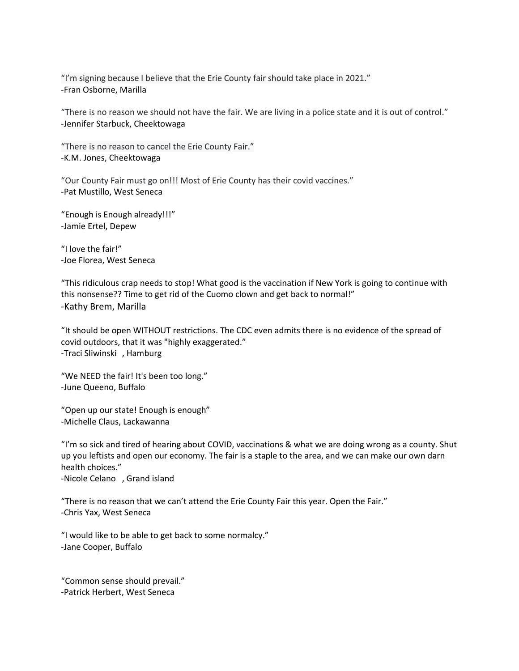"I'm signing because I believe that the Erie County fair should take place in 2021." -Fran Osborne, Marilla

"There is no reason we should not have the fair. We are living in a police state and it is out of control." -Jennifer Starbuck, Cheektowaga

"There is no reason to cancel the Erie County Fair." -K.M. Jones, Cheektowaga

"Our County Fair must go on!!! Most of Erie County has their covid vaccines." -Pat Mustillo, West Seneca

"Enough is Enough already!!!" -Jamie Ertel, Depew

"I love the fair!" -Joe Florea, West Seneca

"This ridiculous crap needs to stop! What good is the vaccination if New York is going to continue with this nonsense?? Time to get rid of the Cuomo clown and get back to normal!" -Kathy Brem, Marilla

"It should be open WITHOUT restrictions. The CDC even admits there is no evidence of the spread of covid outdoors, that it was "highly exaggerated." -Traci Sliwinski , Hamburg

"We NEED the fair! It's been too long." -June Queeno, Buffalo

"Open up our state! Enough is enough" -Michelle Claus, Lackawanna

"I'm so sick and tired of hearing about COVID, vaccinations & what we are doing wrong as a county. Shut up you leftists and open our economy. The fair is a staple to the area, and we can make our own darn health choices."

-Nicole Celano , Grand island

"There is no reason that we can't attend the Erie County Fair this year. Open the Fair." -Chris Yax, West Seneca

"I would like to be able to get back to some normalcy." -Jane Cooper, Buffalo

"Common sense should prevail." -Patrick Herbert, West Seneca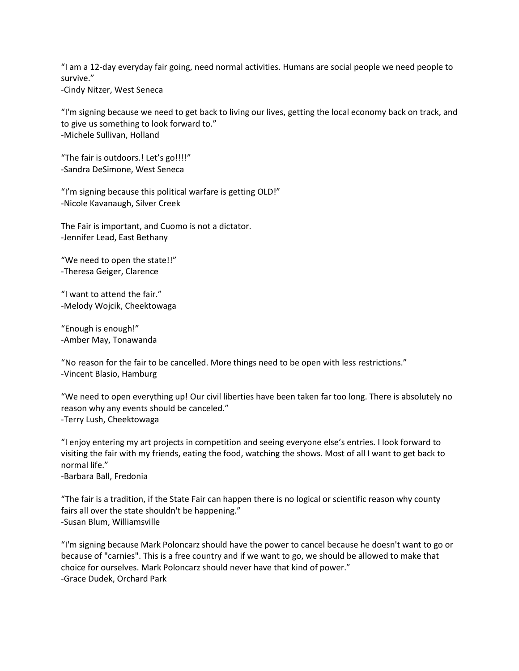"I am a 12-day everyday fair going, need normal activities. Humans are social people we need people to survive."

-Cindy Nitzer, West Seneca

"I'm signing because we need to get back to living our lives, getting the local economy back on track, and to give us something to look forward to." -Michele Sullivan, Holland

"The fair is outdoors.! Let's go!!!!" -Sandra DeSimone, West Seneca

"I'm signing because this political warfare is getting OLD!" -Nicole Kavanaugh, Silver Creek

The Fair is important, and Cuomo is not a dictator. -Jennifer Lead, East Bethany

"We need to open the state!!" -Theresa Geiger, Clarence

"I want to attend the fair." -Melody Wojcik, Cheektowaga

"Enough is enough!" -Amber May, Tonawanda

"No reason for the fair to be cancelled. More things need to be open with less restrictions." -Vincent Blasio, Hamburg

"We need to open everything up! Our civil liberties have been taken far too long. There is absolutely no reason why any events should be canceled." -Terry Lush, Cheektowaga

"I enjoy entering my art projects in competition and seeing everyone else's entries. I look forward to visiting the fair with my friends, eating the food, watching the shows. Most of all I want to get back to normal life." -Barbara Ball, Fredonia

"The fair is a tradition, if the State Fair can happen there is no logical or scientific reason why county fairs all over the state shouldn't be happening."

-Susan Blum, Williamsville

"I'm signing because Mark Poloncarz should have the power to cancel because he doesn't want to go or because of "carnies". This is a free country and if we want to go, we should be allowed to make that choice for ourselves. Mark Poloncarz should never have that kind of power." -Grace Dudek, Orchard Park